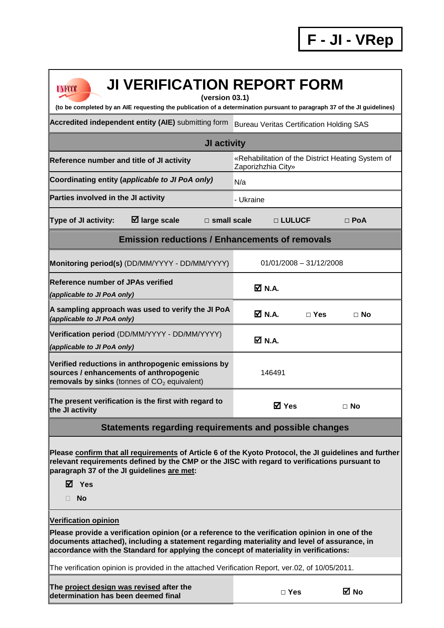| <b>JI VERIFICATION REPORT FORM</b><br><b>UNFCCC</b><br>(version 03.1)                                                                                                                                                                                                                                                   |                                                                         |                           |            |  |  |  |
|-------------------------------------------------------------------------------------------------------------------------------------------------------------------------------------------------------------------------------------------------------------------------------------------------------------------------|-------------------------------------------------------------------------|---------------------------|------------|--|--|--|
| (to be completed by an AIE requesting the publication of a determination pursuant to paragraph 37 of the JI guidelines)                                                                                                                                                                                                 |                                                                         |                           |            |  |  |  |
| Accredited independent entity (AIE) submitting form                                                                                                                                                                                                                                                                     | <b>Bureau Veritas Certification Holding SAS</b>                         |                           |            |  |  |  |
| JI activity                                                                                                                                                                                                                                                                                                             |                                                                         |                           |            |  |  |  |
| Reference number and title of JI activity                                                                                                                                                                                                                                                                               | «Rehabilitation of the District Heating System of<br>Zaporizhzhia City» |                           |            |  |  |  |
| Coordinating entity (applicable to JI PoA only)                                                                                                                                                                                                                                                                         | N/a                                                                     |                           |            |  |  |  |
| Parties involved in the JI activity                                                                                                                                                                                                                                                                                     | - Ukraine                                                               |                           |            |  |  |  |
| $\boxtimes$ large scale<br>Type of JI activity:<br>$\square$ small scale                                                                                                                                                                                                                                                | □ LULUCF                                                                |                           | $\Box$ PoA |  |  |  |
| <b>Emission reductions / Enhancements of removals</b>                                                                                                                                                                                                                                                                   |                                                                         |                           |            |  |  |  |
| Monitoring period(s) (DD/MM/YYYY - DD/MM/YYYY)                                                                                                                                                                                                                                                                          |                                                                         | $01/01/2008 - 31/12/2008$ |            |  |  |  |
| <b>Reference number of JPAs verified</b><br>(applicable to JI PoA only)                                                                                                                                                                                                                                                 | Ø N.A.                                                                  |                           |            |  |  |  |
| A sampling approach was used to verify the JI PoA<br>(applicable to JI PoA only)                                                                                                                                                                                                                                        | $\overline{\mathsf{M}}$ N.A.                                            | $\Box$ Yes                | $\Box$ No  |  |  |  |
| Verification period (DD/MM/YYYY - DD/MM/YYYY)<br>(applicable to JI PoA only)                                                                                                                                                                                                                                            | Ø N.A.                                                                  |                           |            |  |  |  |
| Verified reductions in anthropogenic emissions by<br>sources / enhancements of anthropogenic<br>removals by sinks (tonnes of $CO2$ equivalent)                                                                                                                                                                          | 146491                                                                  |                           |            |  |  |  |
| The present verification is the first with regard to<br>the JI activity                                                                                                                                                                                                                                                 | <b>⊠</b> Yes                                                            |                           | $\Box$ No  |  |  |  |
| Statements regarding requirements and possible changes                                                                                                                                                                                                                                                                  |                                                                         |                           |            |  |  |  |
| Please confirm that all requirements of Article 6 of the Kyoto Protocol, the JI guidelines and further<br>relevant requirements defined by the CMP or the JISC with regard to verifications pursuant to<br>paragraph 37 of the JI guidelines are met:<br>$\boxtimes$ Yes<br><b>No</b>                                   |                                                                         |                           |            |  |  |  |
| <b>Verification opinion</b><br>Please provide a verification opinion (or a reference to the verification opinion in one of the<br>documents attached), including a statement regarding materiality and level of assurance, in<br>accordance with the Standard for applying the concept of materiality in verifications: |                                                                         |                           |            |  |  |  |
| The verification opinion is provided in the attached Verification Report, ver.02, of 10/05/2011.                                                                                                                                                                                                                        |                                                                         |                           |            |  |  |  |
| The project design was revised after the<br>determination has been deemed final                                                                                                                                                                                                                                         | $\Box$ Yes                                                              |                           | ⊠ No       |  |  |  |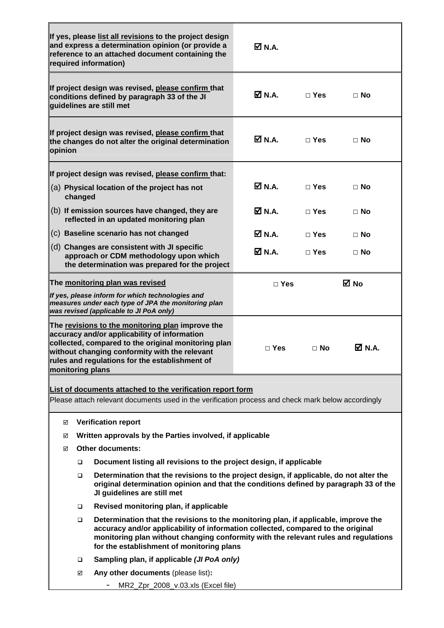|                                                                                                                                                                                                                      |                                                                                                                                                                                                                                                                                                                       | If yes, please list all revisions to the project design<br>and express a determination opinion (or provide a<br>reference to an attached document containing the<br>required information)                                                                                      | $\boxtimes$ N.A.             |              |           |  |
|----------------------------------------------------------------------------------------------------------------------------------------------------------------------------------------------------------------------|-----------------------------------------------------------------------------------------------------------------------------------------------------------------------------------------------------------------------------------------------------------------------------------------------------------------------|--------------------------------------------------------------------------------------------------------------------------------------------------------------------------------------------------------------------------------------------------------------------------------|------------------------------|--------------|-----------|--|
| If project design was revised, please confirm that<br>conditions defined by paragraph 33 of the JI<br>quidelines are still met                                                                                       |                                                                                                                                                                                                                                                                                                                       |                                                                                                                                                                                                                                                                                | Ø N.A.                       | $\Box$ Yes   | $\Box$ No |  |
| opinion                                                                                                                                                                                                              |                                                                                                                                                                                                                                                                                                                       | If project design was revised, please confirm that<br>the changes do not alter the original determination                                                                                                                                                                      | <b>Ø</b> N.A.                | $\Box$ Yes   | $\Box$ No |  |
|                                                                                                                                                                                                                      |                                                                                                                                                                                                                                                                                                                       | If project design was revised, please confirm that:                                                                                                                                                                                                                            |                              |              |           |  |
|                                                                                                                                                                                                                      | changed                                                                                                                                                                                                                                                                                                               | (a) Physical location of the project has not                                                                                                                                                                                                                                   | $\overline{\mathsf{M}}$ N.A. | $\Box$ Yes   | $\Box$ No |  |
|                                                                                                                                                                                                                      |                                                                                                                                                                                                                                                                                                                       | (b) If emission sources have changed, they are<br>reflected in an updated monitoring plan                                                                                                                                                                                      | <b>Ø</b> N.A.                | $\Box$ Yes   | $\Box$ No |  |
|                                                                                                                                                                                                                      |                                                                                                                                                                                                                                                                                                                       | (c) Baseline scenario has not changed                                                                                                                                                                                                                                          | M N.A.                       | $\Box$ Yes   | $\Box$ No |  |
|                                                                                                                                                                                                                      |                                                                                                                                                                                                                                                                                                                       | (d) Changes are consistent with JI specific<br>approach or CDM methodology upon which<br>the determination was prepared for the project                                                                                                                                        | M N.A.                       | $\sqcap$ Yes | ⊟ No      |  |
| The monitoring plan was revised                                                                                                                                                                                      |                                                                                                                                                                                                                                                                                                                       |                                                                                                                                                                                                                                                                                | $\Box$ Yes                   |              | ⊠ No      |  |
|                                                                                                                                                                                                                      |                                                                                                                                                                                                                                                                                                                       | If yes, please inform for which technologies and<br>measures under each type of JPA the monitoring plan<br>was revised (applicable to JI PoA only)                                                                                                                             |                              |              |           |  |
|                                                                                                                                                                                                                      |                                                                                                                                                                                                                                                                                                                       | The revisions to the monitoring plan improve the<br>accuracy and/or applicability of information<br>collected, compared to the original monitoring plan<br>without changing conformity with the relevant<br>rules and regulations for the establishment of<br>monitoring plans | $\Box$ Yes                   | $\Box$ No    | M N.A.    |  |
| List of documents attached to the verification report form                                                                                                                                                           |                                                                                                                                                                                                                                                                                                                       |                                                                                                                                                                                                                                                                                |                              |              |           |  |
| Please attach relevant documents used in the verification process and check mark below accordingly                                                                                                                   |                                                                                                                                                                                                                                                                                                                       |                                                                                                                                                                                                                                                                                |                              |              |           |  |
|                                                                                                                                                                                                                      |                                                                                                                                                                                                                                                                                                                       |                                                                                                                                                                                                                                                                                |                              |              |           |  |
| <b>Verification report</b><br>☑<br>Written approvals by the Parties involved, if applicable<br>☑                                                                                                                     |                                                                                                                                                                                                                                                                                                                       |                                                                                                                                                                                                                                                                                |                              |              |           |  |
| <b>Other documents:</b><br>☑                                                                                                                                                                                         |                                                                                                                                                                                                                                                                                                                       |                                                                                                                                                                                                                                                                                |                              |              |           |  |
|                                                                                                                                                                                                                      | Document listing all revisions to the project design, if applicable<br>□                                                                                                                                                                                                                                              |                                                                                                                                                                                                                                                                                |                              |              |           |  |
| Determination that the revisions to the project design, if applicable, do not alter the<br>▫<br>original determination opinion and that the conditions defined by paragraph 33 of the<br>JI guidelines are still met |                                                                                                                                                                                                                                                                                                                       |                                                                                                                                                                                                                                                                                |                              |              |           |  |
|                                                                                                                                                                                                                      | $\Box$                                                                                                                                                                                                                                                                                                                | Revised monitoring plan, if applicable                                                                                                                                                                                                                                         |                              |              |           |  |
|                                                                                                                                                                                                                      | Determination that the revisions to the monitoring plan, if applicable, improve the<br>$\Box$<br>accuracy and/or applicability of information collected, compared to the original<br>monitoring plan without changing conformity with the relevant rules and regulations<br>for the establishment of monitoring plans |                                                                                                                                                                                                                                                                                |                              |              |           |  |
|                                                                                                                                                                                                                      | Sampling plan, if applicable (JI PoA only)<br>▫                                                                                                                                                                                                                                                                       |                                                                                                                                                                                                                                                                                |                              |              |           |  |
|                                                                                                                                                                                                                      | Any other documents (please list):<br>☑                                                                                                                                                                                                                                                                               |                                                                                                                                                                                                                                                                                |                              |              |           |  |
|                                                                                                                                                                                                                      |                                                                                                                                                                                                                                                                                                                       | MR2_Zpr_2008_v.03.xls (Excel file)                                                                                                                                                                                                                                             |                              |              |           |  |